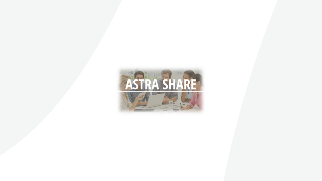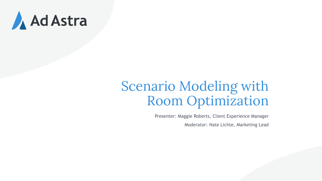

#### Scenario Modeling with Room Optimization

Presenter: Maggie Roberts, Client Experience Manager Moderator: Nate Lichte, Marketing Lead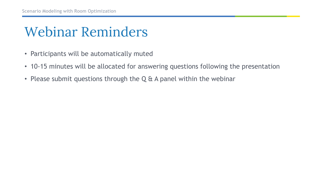#### Webinar Reminders

- Participants will be automatically muted
- 10-15 minutes will be allocated for answering questions following the presentation
- Please submit questions through the Q & A panel within the webinar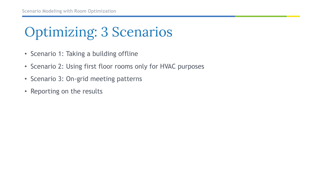## Optimizing: 3 Scenarios

- Scenario 1: Taking a building offline
- Scenario 2: Using first floor rooms only for HVAC purposes
- Scenario 3: On-grid meeting patterns
- Reporting on the results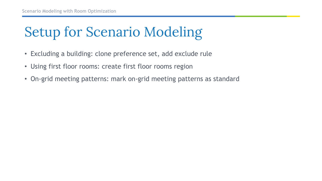# Setup for Scenario Modeling

- Excluding a building: clone preference set, add exclude rule
- Using first floor rooms: create first floor rooms region
- On-grid meeting patterns: mark on-grid meeting patterns as standard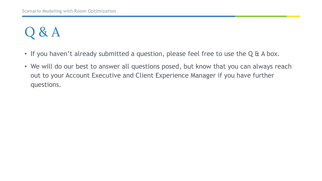## $\lambda$  &  $A$

- If you haven't already submitted a question, please feel free to use the Q & A box.
- We will do our best to answer all questions posed, but know that you can always reach out to your Account Executive and Client Experience Manager if you have further questions.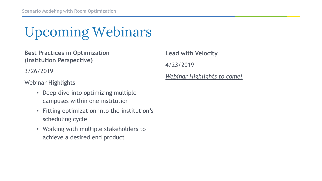Upcoming Webinars

**Best Practices in Optimization (Institution Perspective)**

3/26/2019

Webinar Highlights

- Deep dive into optimizing multiple campuses within one institution
- Fitting optimization into the institution's scheduling cycle
- Working with multiple stakeholders to achieve a desired end product

**Lead with Velocity** 4/23/2019 *Webinar Highlights to come!*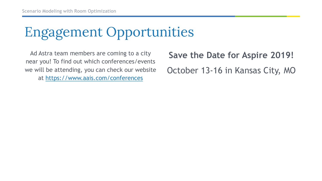## Engagement Opportunities

Ad Astra team members are coming to a city near you! To find out which conferences/events we will be attending, you can check our website at <https://www.aais.com/conferences>

**Save the Date for Aspire 2019!** October 13-16 in Kansas City, MO